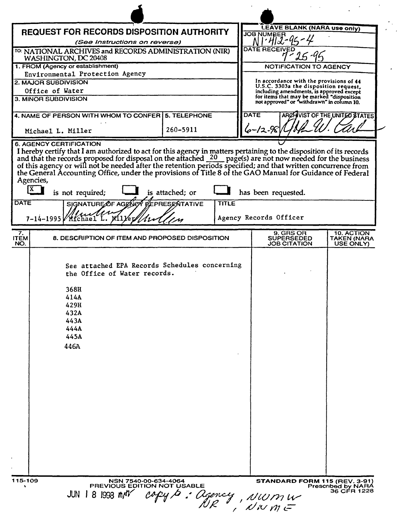| <b>LEAVE BLANK (NARA use only)</b><br><b>REQUEST FOR RECORDS DISPOSITION AUTHORITY</b><br><b>JOB NUMBER</b><br>(See Instructions on reverse)<br><b>DATE RECEIVED</b><br>TO: NATIONAL ARCHIVES and RECORDS ADMINISTRATION (NIR)<br>WASHINGTON, DC 20408<br>1. FROM (Agency or establishment)<br><b>NOTIFICATION TO AGENCY</b><br>Environmental Protection Agency<br>In accordance with the provisions of 44<br><b>2. MAJOR SUBDIVISION</b><br>U.S.C. 3303a the disposition request.<br>Office of Water<br>including amendments, is approved except<br>for items that may be marked "disposition<br>3. MINOR SUBDIVISION<br>not approved" or "withdrawn" in column 10.<br><b>DATE</b><br>ARCHIVIST OF THE UNITED STATES<br>4. NAME OF PERSON WITH WHOM TO CONFER   5. TELEPHONE<br>6–12-98<br>260-5911<br>Michael L. Miller<br><b>6. AGENCY CERTIFICATION</b><br>I hereby certify that I am authorized to act for this agency in matters pertaining to the disposition of its records and that the records proposed for disposal on the attached $\frac{20}{10}$ page(s) are not now needed for th<br>of this agency or will not be needed after the retention periods specified; and that written concurrence from<br>the General Accounting Office, under the provisions of Title 8 of the GAO Manual for Guidance of Federal<br>Agencies,<br> X<br>is not required;<br>has been requested.<br>is attached; or<br><b>DATE</b><br>SIGNATURE OF AGENEY ELEPRESENTATIVE<br><b>TITLE</b><br>Agency Records Officer<br>$7 - 14 - 1995$<br>Villey//121<br>Mfchael<br>9. GRS OR<br>10. ACTION<br>7.<br>8. DESCRIPTION OF ITEM AND PROPOSED DISPOSITION<br><b>SUPERSEDED</b><br>NO.<br>JOB CITATION<br>USE ONLY)<br>See attached EPA Records Schedules concerning<br>the Office of Water records.<br>368H<br>414A<br>429H<br>432A<br>443A<br>444A<br>445A<br>446A |                     |                     |  |             |
|-----------------------------------------------------------------------------------------------------------------------------------------------------------------------------------------------------------------------------------------------------------------------------------------------------------------------------------------------------------------------------------------------------------------------------------------------------------------------------------------------------------------------------------------------------------------------------------------------------------------------------------------------------------------------------------------------------------------------------------------------------------------------------------------------------------------------------------------------------------------------------------------------------------------------------------------------------------------------------------------------------------------------------------------------------------------------------------------------------------------------------------------------------------------------------------------------------------------------------------------------------------------------------------------------------------------------------------------------------------------------------------------------------------------------------------------------------------------------------------------------------------------------------------------------------------------------------------------------------------------------------------------------------------------------------------------------------------------------------------------------------------------------------------------------------------------------------------------------------------|---------------------|---------------------|--|-------------|
| <b>ITEM</b>                                                                                                                                                                                                                                                                                                                                                                                                                                                                                                                                                                                                                                                                                                                                                                                                                                                                                                                                                                                                                                                                                                                                                                                                                                                                                                                                                                                                                                                                                                                                                                                                                                                                                                                                                                                                                                               |                     |                     |  |             |
|                                                                                                                                                                                                                                                                                                                                                                                                                                                                                                                                                                                                                                                                                                                                                                                                                                                                                                                                                                                                                                                                                                                                                                                                                                                                                                                                                                                                                                                                                                                                                                                                                                                                                                                                                                                                                                                           |                     |                     |  |             |
|                                                                                                                                                                                                                                                                                                                                                                                                                                                                                                                                                                                                                                                                                                                                                                                                                                                                                                                                                                                                                                                                                                                                                                                                                                                                                                                                                                                                                                                                                                                                                                                                                                                                                                                                                                                                                                                           |                     |                     |  |             |
|                                                                                                                                                                                                                                                                                                                                                                                                                                                                                                                                                                                                                                                                                                                                                                                                                                                                                                                                                                                                                                                                                                                                                                                                                                                                                                                                                                                                                                                                                                                                                                                                                                                                                                                                                                                                                                                           |                     |                     |  |             |
|                                                                                                                                                                                                                                                                                                                                                                                                                                                                                                                                                                                                                                                                                                                                                                                                                                                                                                                                                                                                                                                                                                                                                                                                                                                                                                                                                                                                                                                                                                                                                                                                                                                                                                                                                                                                                                                           |                     |                     |  |             |
|                                                                                                                                                                                                                                                                                                                                                                                                                                                                                                                                                                                                                                                                                                                                                                                                                                                                                                                                                                                                                                                                                                                                                                                                                                                                                                                                                                                                                                                                                                                                                                                                                                                                                                                                                                                                                                                           |                     |                     |  |             |
|                                                                                                                                                                                                                                                                                                                                                                                                                                                                                                                                                                                                                                                                                                                                                                                                                                                                                                                                                                                                                                                                                                                                                                                                                                                                                                                                                                                                                                                                                                                                                                                                                                                                                                                                                                                                                                                           |                     |                     |  |             |
|                                                                                                                                                                                                                                                                                                                                                                                                                                                                                                                                                                                                                                                                                                                                                                                                                                                                                                                                                                                                                                                                                                                                                                                                                                                                                                                                                                                                                                                                                                                                                                                                                                                                                                                                                                                                                                                           |                     |                     |  |             |
|                                                                                                                                                                                                                                                                                                                                                                                                                                                                                                                                                                                                                                                                                                                                                                                                                                                                                                                                                                                                                                                                                                                                                                                                                                                                                                                                                                                                                                                                                                                                                                                                                                                                                                                                                                                                                                                           |                     |                     |  |             |
|                                                                                                                                                                                                                                                                                                                                                                                                                                                                                                                                                                                                                                                                                                                                                                                                                                                                                                                                                                                                                                                                                                                                                                                                                                                                                                                                                                                                                                                                                                                                                                                                                                                                                                                                                                                                                                                           |                     |                     |  |             |
|                                                                                                                                                                                                                                                                                                                                                                                                                                                                                                                                                                                                                                                                                                                                                                                                                                                                                                                                                                                                                                                                                                                                                                                                                                                                                                                                                                                                                                                                                                                                                                                                                                                                                                                                                                                                                                                           |                     |                     |  |             |
|                                                                                                                                                                                                                                                                                                                                                                                                                                                                                                                                                                                                                                                                                                                                                                                                                                                                                                                                                                                                                                                                                                                                                                                                                                                                                                                                                                                                                                                                                                                                                                                                                                                                                                                                                                                                                                                           |                     |                     |  | TAKEN (NARA |
|                                                                                                                                                                                                                                                                                                                                                                                                                                                                                                                                                                                                                                                                                                                                                                                                                                                                                                                                                                                                                                                                                                                                                                                                                                                                                                                                                                                                                                                                                                                                                                                                                                                                                                                                                                                                                                                           |                     |                     |  |             |
| Prescribed by NARA                                                                                                                                                                                                                                                                                                                                                                                                                                                                                                                                                                                                                                                                                                                                                                                                                                                                                                                                                                                                                                                                                                                                                                                                                                                                                                                                                                                                                                                                                                                                                                                                                                                                                                                                                                                                                                        | $JUN$ 1 8 1998 $MV$ | Cy D : Ogency, NWMW |  | 36 CFR 1228 |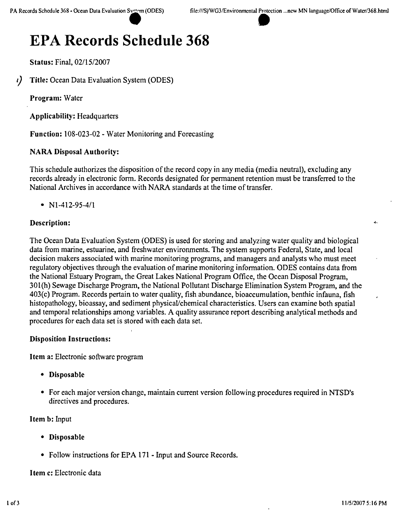Status: Final, *02/1512007*

*I)* Title: Ocean Data Evaluation System (ODES)

Program: Water

Applicability: Headquarters

Function: 108-023-02 - Water Monitoring and Forecasting

#### NARA Disposal Authority:

This schedule authorizes the disposition of the record copy in any media (media neutral), excluding any records already in electronic form, Records designated for permanent retention must be transferred to the National Archives in accordance with NARA standards at the time of transfer.

•  $N1-412-95-4/1$ 

#### Description:

The Ocean Data Evaluation System (ODES) is used for storing and analyzing water quality and biological data from marine, estuarine, and freshwater environments. The system supports Federal, State, and local decision makers associated with marine monitoring programs, and managers and analysts who must meet regulatory objectives through the evaluation of marine monitoring information. ODES contains data from the National Estuary Program, the Great Lakes National Program Office, the Ocean Disposal Program, 301(h) Sewage Discharge Program, the National Pollutant Discharge Elimination System Program, and the 403(c) Program. Records pertain to water quality, fish abundance, bioaccumulation, benthic infauna, fish histopathology, bioassay, and sediment physical/chemical characteristics. Users can examine both spatial and temporal relationships among variables. A quality assurance report describing analytical methods and procedures for each data set is stored with each data set.

#### Disposition Instructions:

Item a: Electronic software program

- • Disposable
- For each major version change, maintain current version following procedures required in NTSD's directives and procedures.

Item b: Input

- • Disposable
- Follow instructions for EPA 171 Input and Source Records.

Item c: Electronic data

ż.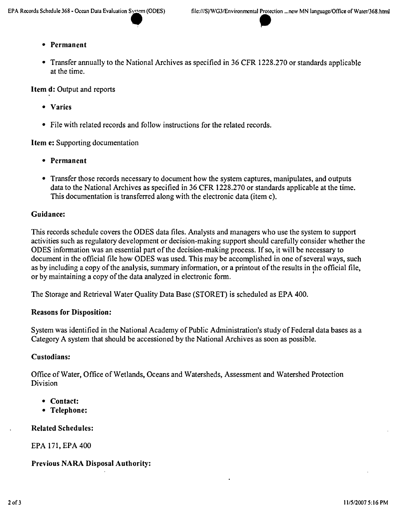• Transfer annually to the National Archives as specified in 36 CFR 1228.270 or standards applicable at the time.

Item d: Output and reports

- • Varies
- File with related records and follow instructions for the related records.

Item e: Supporting documentation

- • Permanent
- Transfer those records necessary to document how the system captures, manipulates, and outputs data to the National Archives as specified in 36 CFR 1228.270 or standards applicable at the time. This documentation is transferred along with the electronic data (item c).

#### Guidance:

This records schedule covers the ODES data files. Analysts and managers who use the system to support activities such as regulatory development or decision-making support should carefully consider whether the ODES information was an essential part of the decision-making process. If so, it will be necessary to document in the official file how ODES was used. This may be accomplished in one of several ways, such as by including a copy of the analysis, summary information, or a printout of the results in the official file,<br>or by maintaining a copy of the data analyzed in electronic form.

The Storage and Retrieval Water Quality Data Base (STORET) is scheduled as EPA 400.

#### Reasons for Disposition:

System was identified in the National Academy of Public Administration's study of Federal data bases as a Category A system that should be accessioned by the National Archives as soon as possible.

#### Custodians:

Office of Water, Office of Wetlands, Oceans and Watersheds, Assessment and Watershed Protection Division

- • Contact:
- Telephone:

Related Schedules:

EPA 171, EPA 400

#### Previous NARA Disposal Authority: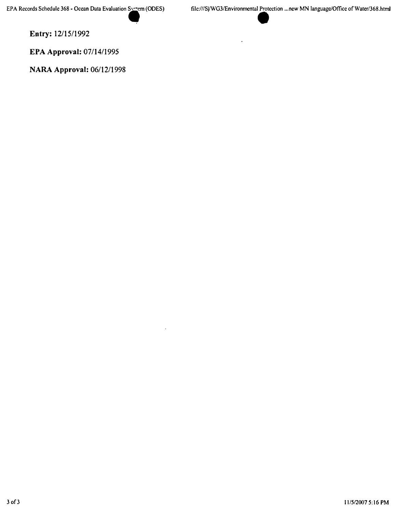**Entry:** *12/15/1992*

**EPA Approval:** *07/14/1995*

**NARA Approval:** *06/12/1998*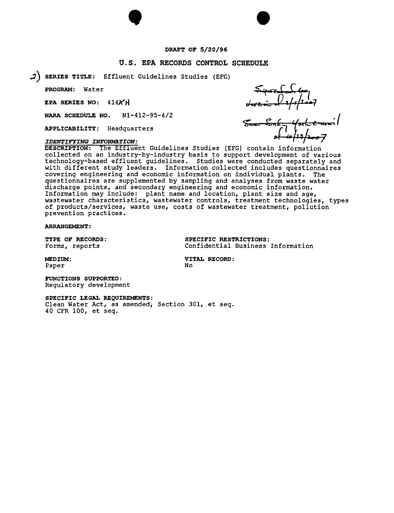#### DRAFT OF 5/20/96

 $\bullet$ 

#### u.s. EPA RECORDS CONTROL SCHEDULE

2) SERIES TITLE: Effluent Guidelines Studies (EFG)

PROGRAM: Water

EPA SERIES NO: 414AH

NARA SCHEDULE NO. Nl-412-95-4/2

APPLICABILITY: Headquarters

#### *IDENTIFYING INFORMATION:*

DESCRIPTION: The Effluent Guidelines Studies (EFG) contain information collected on an industry-by-industry basis to support development of various technology-based effluent guidelines. Studies were conducted separately and with different study leaders. Information collected includes questionnaires covering engineering and economic information on individual plants. The questionnaires are supplemented by sampling and analyses from waste water discharge points, and secondary engineering and economic information. Information may include: plant name and location, plant size and age, wastewater characteristics, wastewater controls, treatment technologies, types of products/services, waste use, costs of wastewater treatment, pollution prevention practices.

ARRANGEMENT:

TYPE OF RECORDS: SPECIFIC RESTRICTIONS: Forms, reports Confidential Business Information

Paper No. 2016

MEDIUM: VITAL RECORD:

FUNCTIONS SUPPORTED: Regulatory development

SPECIFIC LEGAL REQUIREMENTS:

Clean Water Act, as amended, Section 301, et seq. 40 CFR 100, et seq.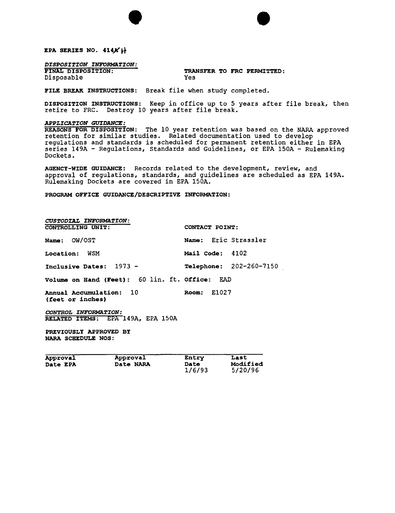EPA SERIES NO. 414X<sup>H</sup>

### *DISPOSITION INFORMATION:*<br>FINAL DISPOSITION:

Disposable

### TRANSFER TO FRC PERMITTED:<br>Yes

5/20/96

FILE BREAK INSTRUCTIONS: Break file when study completed.

DISPOSITION INSTRUCTIONS: Keep in office up to 5 years after file break, then retire to FRC. Destroy 10 years after file break.

 $\bullet$ 

#### *APPLICA~ION GUIDANCE:*

REASONS FOR DISPOSITION: The 10 year retention was based on the NARA approved retention for similar studies. Related documentation used to develop regulations and standards is scheduled for permanent retention either in EPA series 149A - Regulations, Standards and Guidelines, or EPA 150A - Rulemaking Dockets.

AGENCY-WIDE GUIDANCE: Records related to the development, review, and approval of regulations, standards, and guidelines are scheduled as EPA 149A. Rulemaking Dockets are covered in EPA 150A.

PROGRAM OFFICE GUIDANCE/DESCRIPTIVE INFORMATION:

| CUSTODIAL INFORMATION:                         |                         |
|------------------------------------------------|-------------------------|
| <b>CONTROLLING UNIT:</b>                       | CONTACT POINT:          |
| Name: OW/OST                                   | Name: Eric Strassler    |
| Location: WSM                                  | Mail Code: 4102         |
| Inclusive Dates: 1973 -                        | Telephone: 202-260-7150 |
| Volume on Hand (Feet): 60 lin. ft. Office: EAD |                         |
| Annual Accumulation: 10<br>(feet or inches)    | <b>Room:</b> E1027      |
| CONTROL INFORMATION:                           |                         |
| RELATED ITEMS: EPA 149A, EPA 150A              |                         |
| PREVIOUSLY APPROVED BY<br>NARA SCHEDULE NOS:   |                         |

Approval Approval Entry Last<br>
Date EPA Date NARA Date Modified

Date EPA Date NARA Date<br>1/6/93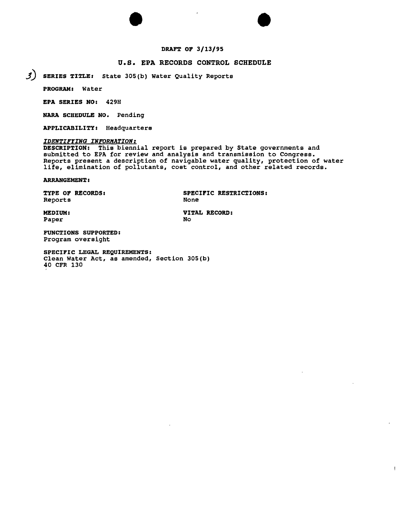# $\bullet$   $\bullet$ DRAFT OF 3/13/95

#### U.S. EPA RECORDS CONTROL SCHEDULE

 $J$ ) SERIES TITLE: State 305(b) Water Quality Reports

PROGRAM: Water

EPA SERIES NO: 429H

NARA SCHEDULE NO. Pending

APPLICABILITY: Headquarters

#### *IDENTIFYING INFORMATION:*

DESCRIPTION: This biennial report is prepared by State governments and submitted to EPA for review and analysis and transmission to Congress. Reports present a description of navigable water quality, protection of water life, elimination of pollutants, cost control, and other related records.

ARRANGEMENT :

Reports

TYPE OF RECORDS: SPECIFIC RESTRICTIONS: None

Paper

MEDIUM: VITAL RECORD: **No** 

FUNCTIONS SUPPORTED: Program oversight

SPECIFIC LEGAL REQUIREMENTS: Clean Water Act, as amended, Section 30S(b) 40 CFR 130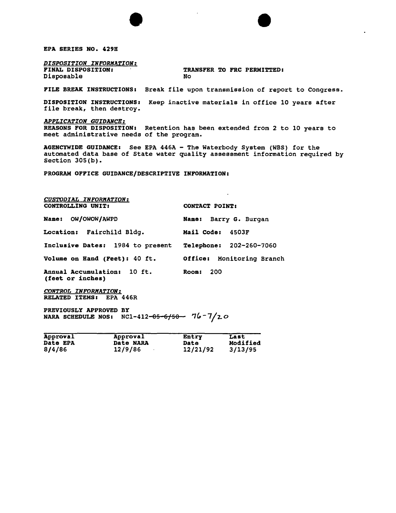EPA SERIES NO. 429H

*DISPOSITION INFORMATION:* Disposable

TRANSFER TO FRC PERMITTED:<br>No

FILE BREAK INSTRUCTIONS: Break file upon transmission of report to Congress.

 $\bullet$ 

DISPOSITION INSTRUCTIONS: Keep inactive materials in office 10 years after file break, then destroy.

*APPLICATION GUIDANCE:* REASONS FOR DISPOSITION: Retention has been extended from 2 to 10 years to meet administrative needs of the program.

AGENCYWIDE GUIDANCE: See EPA 446A - The Waterbody System (WBS) for the automated data base of State water quality assessment information required by Section 305 (b).

PROGRAM OFFICE GUIDANCE/DESCRIPTIVE INFORMATION:

| <b>CUSTODIAL INFORMATION:</b><br>CONTROLLING UNIT: | <b>CONTACT POINT:</b>     |  |  |  |
|----------------------------------------------------|---------------------------|--|--|--|
| Name: OW/OWOW/AWPD                                 | Name: Barry G. Burgan     |  |  |  |
| <b>Location:</b> Fairchild Bldq.                   | Mail Code: 4503F          |  |  |  |
| Inclusive Dates: 1984 to present                   | Telephone: 202-260-7060   |  |  |  |
| Volume on Hand (Feet): 40 ft.                      | Office: Monitoring Branch |  |  |  |
| Annual Accumulation: 10 ft.<br>(feet or inches)    | Room: $200$               |  |  |  |

*CONTROL INFORMATION:* RELATED ITEMS: EPA 446R

PREVIOUSLY APPROVED BY NARA SCHEDULE NOS:  $NC1-412-85-6/50$   $76-7/20$ 

| Approval        | Approval  | Entry    | Last     |
|-----------------|-----------|----------|----------|
| <b>Date EPA</b> | Date NARA | Date     | Modified |
| 8/4/86          | 12/9/86   | 12/21/92 | 3/13/95  |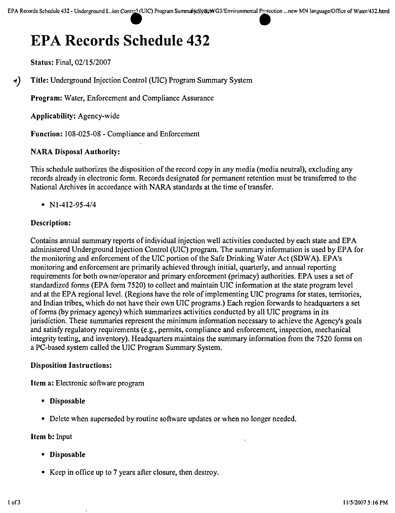Status: Final, *02/15/2007*

~) Title: Underground Injection Control (mC) Program Summary System

Program: Water, Enforcement and Compliance Assurance

Applicability: Agency-wide

Function: 108-025-08 - Compliance and Enforcement

#### NARA Disposal Authority:

This schedule authorizes the disposition of the record copy in any media (media neutral), excluding any records already in electronic form. Records designated for permanent retention must be transferred to the National Archives in accordance with NARA standards at the time of transfer.

*• Nl-412-95-4/4*

#### Description:

Contains annual summary reports of individual injection well activities conducted by each state and EPA administered Underground Injection Control (UIC) program. The summary information is used by EPA for the monitoring and enforcement of the UIC portion of the Safe Drinking Water Act (SDWA). EPA's monitoring and enforcement are primarily achieved through initial, quarterly, and annual reporting requirements for both owner/operator and primary enforcement (primacy) authorities. EPA uses a set of standardized forms (EPA form 7520) to collect and maintain UIC information at the state program level and at the EPA regional level. (Regions have the role of implementing UIC programs for states, territories, and Indian tribes, which do not have their own UfC programs.) Each region forwards to headquarters a set of forms (by primacy agency) which summarizes activities conducted by all UIC programs in its jurisdiction. These summaries represent the minimum information necessary to achieve the Agency's goals and satisfy regulatory requirements (e.g., permits, compliance and enforcement, inspection, mechanical integrity testing, and inventory). Headquarters maintains the summary information from the 7520 forms on a PC-based system called the UIC Program Summary System.

#### Disposition Instructions:

Item a: Electronic software program

- Disposable
- Delete when superseded by routine software updates or when no longer needed.

#### Item b: Input

- Disposable
- Keep in office up to 7 years after closure, then destroy.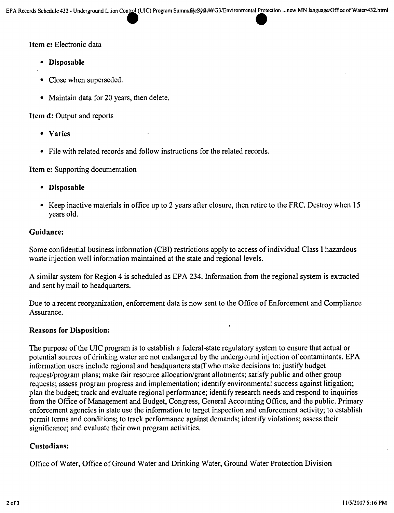#### Item c: Electronic data

- • Disposable
- Close when superseded.
- Maintain data for 20 years, then delete.

#### Item d: Output and reports

- • Varies
- • File with related records and follow instructions for the related records.

#### Item e: Supporting documentation

- • Disposable
- Keep inactive materials in office up to 2 years after closure, then retire to the FRC. Destroy when 15 years old.

#### Guidance:

Some confidential business information (CBI) restrictions apply to access of individual Class I hazardous waste injection well information maintained at the state and regional levels.

A similar system for Region 4 is scheduled as EPA 234. Information from the regional system is extracted and sent by mail to headquarters.

Due to a recent reorganization, enforcement data is now sent to the Office of Enforcement and Compliance Assurance.

#### Reasons for Disposition:

The purpose of the UIC program is to establish a federal-state regulatory system to ensure that actual or potential sources of drinking water are not endangered by the underground injection of contaminants. EPA information users include regional and headquarters staff who make decisions to: justify budget request/program plans; make fair resource allocation/grant allotments; satisfy public and other group requests; assess program progress and implementation; identify environmental success against litigation; plan the budget; track and evaluate regional performance; identify research needs and respond to inquiries from the Office of Management and Budget, Congress, General Accounting Office, and the public. Primary enforcement agencies in state use the information to target inspection and enforcement activity; to establish permit terms and conditions; to track performance against demands; identify violations; assess their significance; and evaluate their own program activities.

#### Custodians:

Office of Water, Office of Ground Water and Drinking Water, Ground Water Protection Division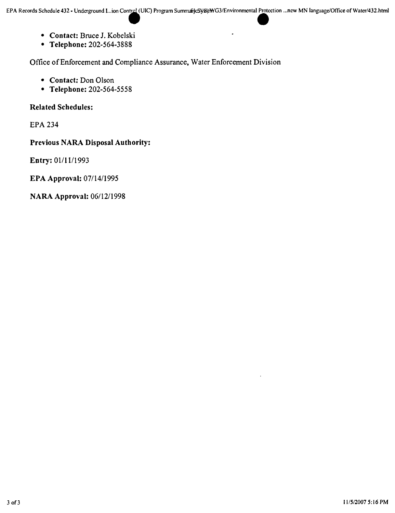l,

- **• Contact:** Bruce J. Kobelski
- **• Telephone:** 202-564-3888

Office of Enforcement and Compliance Assurance, Water Enforcement Division

- **• Contact:** Don Olson
- **• Telephone:** 202-564-5558

**Related Schedules:**

EPA 234

**Previous NARA Disposal Authority:**

**Entry:** 01/11/1993

**EPA Approval:** *07114/1995*

**NARA Approval:** *06/12/1998*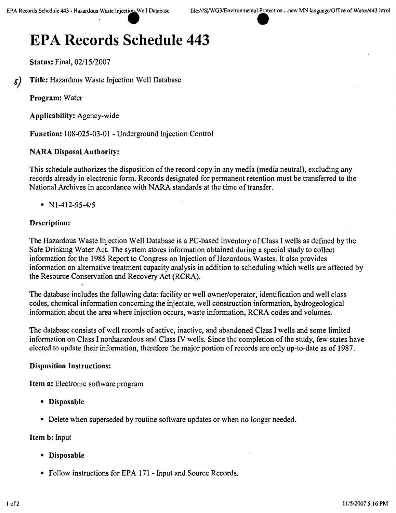Status: Final, 02/15/2007

5) Title: Hazardous Waste Injection Well Database

Program: Water

Applicability: Agency-wide

Function: 108-025-03-01 - Underground Injection Control

#### NARA Disposal Authority:

This schedule authorizes the disposition of the record copy in any media (media neutral), excluding any records already in electronic form. Records designated for permanent retention must be transferred to the National Archives in accordance with NARA standards at the time of transfer.

•  $N1-412-95-4/5$ 

#### Description:

The Hazardous Waste Injection Well Database is a PC-based inventory of Class I wells as defined by the Safe Drinking Water Act. The system stores information obtained during a special study to collect information for the 1985 Report to Congress on Injection of Hazardous Wastes. It also provides information on alternative treatment capacity analysis in addition to scheduling which wells are affected by the Resource Conservation and Recovery Act (RCRA).

The database includes the following data: facility or well owner/operator, identification and well class codes, chemical information concerning the injectate, well construction information, hydrogeological information about the area where injection occurs, waste information, RCRA codes and volumes.

The database consists of well records of active, inactive, and abandoned Class I wells and some limited information on Class I nonhazardous and Class IV wells. Since the completion of the study, few states have elected to update their information, therefore the major portion of records are only up-to-date as of 1987.

#### Disposition Instructions:

Item a: Electronic software program

- Disposable
- Delete when superseded by routine software updates or when no longer needed.

#### Item b: Input

- Disposable
- Follow instructions for EPA 171 Input and Source Records.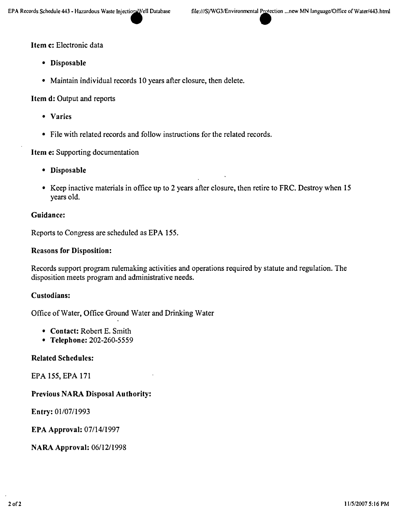#### Item c: Electronic data

- • Disposable
- Maintain individual records 10 years after closure, then delete.

Item d: Output and reports

- • Varies
- File with related records and follow instructions for the related records.

Item e: Supporting documentation

- • Disposable
- Keep inactive materials in office up to 2 years after closure, then retire to FRC. Destroy when 15 years old.

#### Guidance:

Reports to Congress are scheduled as EPA 155.

#### Reasons for Disposition:

Records support program rulemaking activities and operations required by statute and regulation. The disposition meets program and administrative needs.

#### Custodians:

Office of Water, Office Ground Water and Drinking Water

- Contact: Robert E. Smith
- Telephone: 202-260-5559

#### Related Schedules:

EPA 155, EPA 171

#### Previous NARA Disposal Authority:

Entry: *01107/1993*

EPA Approval: *07/14/1997*

NARA Approval: *06112/1998*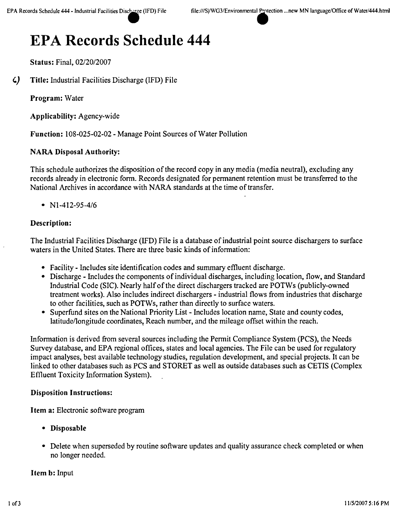Status: Final, *02/2012007*

') Title: Industrial Facilities Discharge (IFD) File

Program: Water

Applicability: Agency-wide

Function: 108-025-02-02 - Manage Point Sources of Water Pollution

#### NARA Disposal Authority:

This schedule authorizes the disposition of the record copy in any media (media neutral), excluding any records already in electronic form. Records designated for permanent retention must be transferred to the National Archives in accordance with NARA standards at the time of transfer.

•  $N1-412-95-4/6$ 

#### Description:

The Industrial Facilities Discharge (IFD) File is a database of industrial point source dischargers to surface waters in the United States. There are three basic kinds of information:

- Facility Includes site identification codes and summary effluent discharge.
- Discharge Includes the components of individual discharges, including location, flow, and Standard Industrial Code (SIC). Nearly half of the direct dischargers tracked are POTWs (publicly-owned treatment works). Also includes indirect dischargers - industrial flows from industries that discharge to other facilities, such as POTWs, rather than directly to surface waters.
- Superfund sites on the National Priority List Includes location name, State and county codes, latitude/longitude coordinates, Reach number, and the mileage offset within the reach.

Information is derived from several sources including the Permit Compliance System (PCS), the Needs Survey database, and EPA regional offices, states and local agencies. The File can be used for regulatory impact analyses, best available technology studies, regulation development, and special projects. It can be linked to other databases such as PCS and STORET as well as outside databases such as CETIS (Complex Effluent Toxicity Information System).

#### Disposition Instructions:

Item a: Electronic software program

- • Disposable
- Delete when superseded by routine software updates and quality assurance check completed or when no longer needed.

#### Item b: Input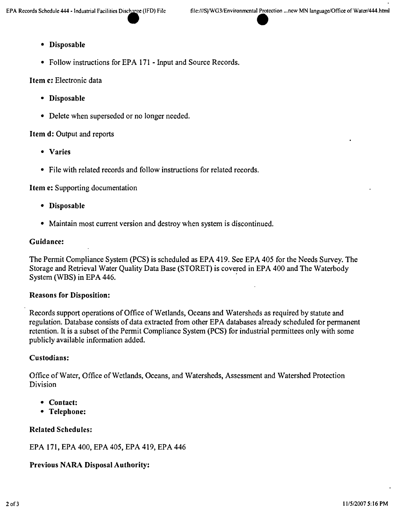#### • Disposable

• Follow instructions for EPA 171 - Input and Source Records.

#### Item c: Electronic data

- Disposable
- Delete when superseded or no longer needed.

#### Item **d:** Output and reports

- Varies
- File with related records and follow instructions for related records.

#### Item e: Supporting documentation

- Disposable
- Maintain most current version and destroy when system is discontinued.

#### Guidance:

The Permit Compliance System (PCS) is scheduled as EPA 419. See EPA 405 for the Needs Survey. The Storage and Retrieval Water Quality Data Base (STORET) is covered in EPA 400 and The Waterbody System (WBS) in EPA 446.

#### Reasons for Disposition:

Records support operations of Office of Wetlands, Oceans and Watersheds as required by statute and regulation. Database consists of data extracted from other EPA databases already scheduled for permanent retention. It is a subset of the Permit Compliance System (PCS) for industrial permittees only with some publicly available information added.

#### Custodians:

Office of Water, Office of Wetlands, Oceans, and Watersheds, Assessment and Watershed Protection Division

- Contact:
- Telephone:

#### Related Schedules:

EPA 171, EPA 400, EPA 405, EPA 419, EPA 446

#### Previous NARA Disposal Authority: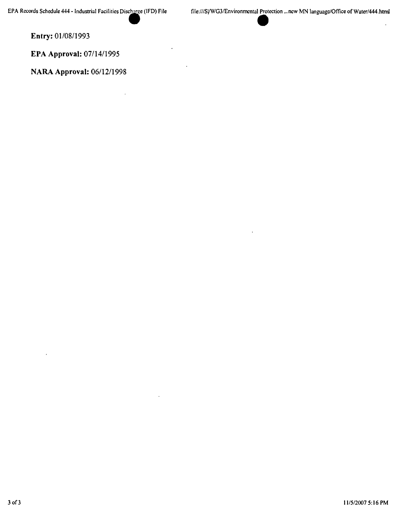**Entry:** *01108/1993*

**EPA Approval:** *07/14/1995*

**NARA Approval:** *06/1211998*

 $\ddot{\phantom{a}}$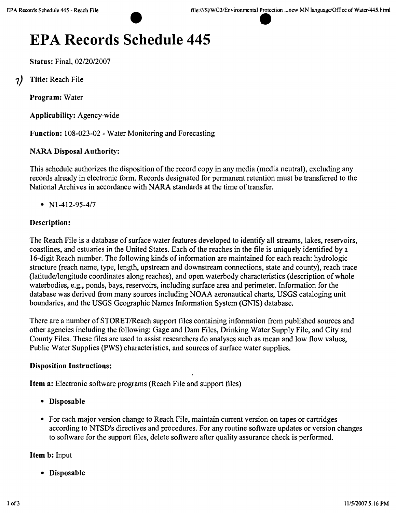Status: Final, *02/2012007*

7) Title: Reach File

Program: Water

Applicability: Agency-wide

Function: 108-023-02 - Water Monitoring and Forecasting

#### NARA Disposal Authority:

This schedule authorizes the disposition of the record copy in any media (media neutral), excluding any records already in electronic form. Records designated for permanent retention must be transferred to the National Archives in accordance with NARA standards at the time of transfer.

*• Nl-412-95-417*

#### Description:

The Reach File is a database of surface water features developed to identify all streams, lakes, reservoirs, coastlines, and estuaries in the United States. Each of the reaches in the file is uniquely identified by a 16-digit Reach number. The following kinds of information are maintained for each reach: hydrologic structure (reach name, type, length, upstream and downstream connections, state and county), reach trace (latitude/longitude coordinates along reaches), and open waterbody characteristics (description of whole waterbodies, e.g., ponds, bays, reservoirs, including surface area and perimeter. Information for the database was derived from many sources including NOAA aeronautical charts, USGS cataloging unit boundaries, and the USGS Geographic Names Information System (GNJS) database.

There are a number of STORET/Reach support files containing information from published sources and other agencies including the following: Gage and Dam Files, Drinking Water Supply File, and City and County Files. These files are used to assist researchers do analyses such as mean and low flow values, Public Water Supplies (PWS) characteristics, and sources of surface water supplies.

#### Disposition Instructions:

Item a: Electronic software programs (Reach File and support files)

- • Disposable
- For each major version change to Reach File, maintain current version on tapes or cartridges according to NTSD's directives and procedures. For any routine software updates or version changes to software for the support files, delete software after quality assurance check is performed.

#### Item b: Input

• Disposable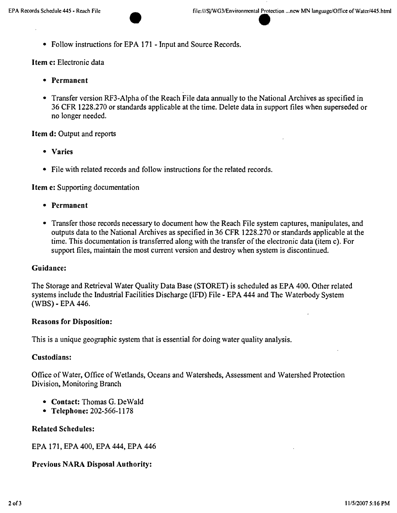• Follow instructions for EPA 171 - Input and Source Records.

Item c: Electronic data

- • Permanent
- Transfer version RF3-Alpha of the Reach File data annually to the National Archives as specified in 36 CFR 1228.270 or standards applicable at the time. Delete data in support files when superseded or no longer needed.

#### Item d: Output and reports

- • Varies
- File with related records and follow instructions for the related records.

Item e: Supporting documentation

- • Permanent
- Transfer those records necessary to document how the Reach File system captures, manipulates, and outputs data to the National Archives as specified in 36 CFR 1228.270 or standards applicable at the time. This documentation is transferred along with the transfer of the electronic data (item c). For support files, maintain the most current version and destroy when system is discontinued.

#### Guidance:

The Storage and Retrieval Water Quality Data Base (STORET) is scheduled as EPA 400. Other related systems include the Industrial Facilities Discharge (IFD) File - EPA 444 and The Waterbody System (WBS) - EPA 446.

#### Reasons for Disposition:

This is a unique geographic system that is essential for doing water quality analysis.

#### Custodians:

Office of Water, Office of Wetlands, Oceans and Watersheds, Assessment and Watershed Protection Division, Monitoring Branch

- Contact: Thomas G. DeWald
- Telephone: 202-566-1178

#### Related Schedules:

EPA 171, EPA 400, EPA 444, EPA 446

#### Previous NARA Disposal Authority: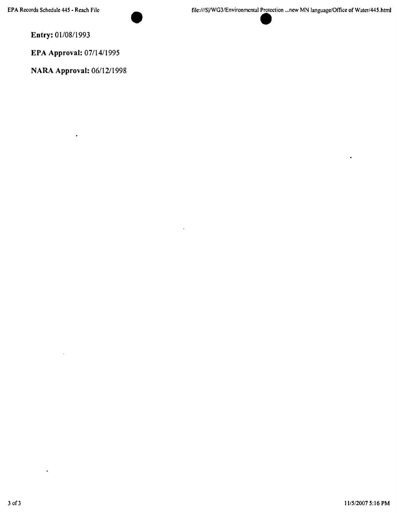**Entry:** *01108/1993*

**EPA Approval:** *07/14/1995*

**NARA Approval:** *06/1211998*

 $\ddot{\phantom{a}}$ 

 $\ddot{\phantom{0}}$ 

 $\bullet$ 

 $\bullet$ 

l,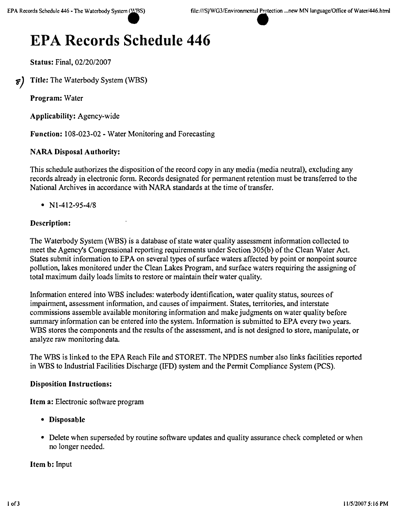Status: Final, *02120/2007*

 $\epsilon$ ) Title: The Waterbody System (WBS)

Program: Water

Applicability: Agency-wide

Function: 108-023-02 - Water Monitoring and Forecasting

#### NARA Disposal Authority:

This schedule authorizes the disposition of the record copy in any media (media neutral), excluding any records already in electronic form. Records designated for permanent retention must be transferred to the National Archives in accordance with NARA standards at the time of transfer.

•  $N1-412-95-4/8$ 

#### Description:

The Waterbody System (WBS) is a database of state water quality assessment information collected to meet the Agency's Congressional reporting requirements under Section 305(b) of the Clean Water Act. States submit information to EPA on several types of surface waters affected by point or nonpoint source pollution, lakes monitored under the Clean Lakes Program, and surface waters requiring the assigning of total maximum daily loads limits to restore or maintain their water quality.

Information entered into WBS includes: waterbody identification, water quality status, sources of impairment, assessment information, and causes of impairment. States, territories, and interstate commissions assemble available monitoring information and make judgments on water quality before summary information can be entered into the system. Information is submitted to EPA every two years. WBS stores the components and the results of the assessment, and is not designed to store, manipulate, or analyze raw monitoring data.

The WBS is linked to the EPA Reach File and STORET. The NPDES number also links facilities reported in WBS to Industrial Facilities Discharge (IFD) system and the Permit Compliance System (PCS).

#### Disposition Instructions:

Item a: Electronic software program

- • Disposable
- Delete when superseded by routine software updates and quality assurance check completed or when no longer needed.

#### Item b: Input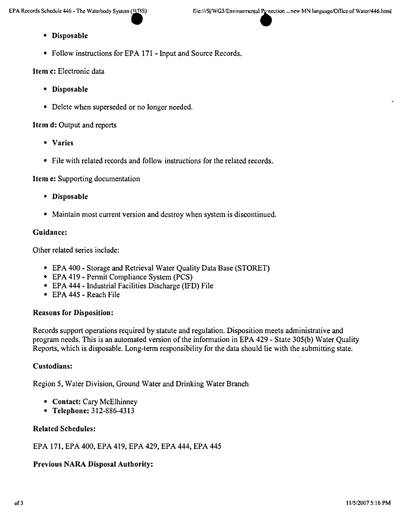- Disposable
- Follow instructions for EPA 171 Input and Source Records.

Item c: Electronic data

- Disposable
- Delete when superseded or no longer needed.

#### Item d: Output and reports

- Varies
- File with related records and follow instructions for the related records.

#### Item e: Supporting documentation

- Disposable
- Maintain most current version and destroy when system is discontinued.

#### Guidance:

Other related series include:

- EPA 400 Storage and Retrieval Water Quality Data Base (STORET)
- EPA 419 Permit Compliance System (PCS)
- EPA 444 Industrial Facilities Discharge (IFD) File
- EPA 445 Reach File

#### Reasons for Disposition:

Records support operations required by statute and regulation. Disposition meets administrative and program needs. This is an automated version of the information in EPA 429 - State 305(b) Water Quality Reports, which is disposable. Long-term responsibility for the data should lie with the submitting state.

#### Custodians:

Region 5, Water Division, Ground Water and Drinking Water Branch

- Contact: Cary McElhinney
- Telephone: 312-886-4313

#### Related Schedules:

EPA 171, EPA 400, EPA 419, EPA 429, EPA 444, EPA 445

#### Previous NARA Disposal Authority: